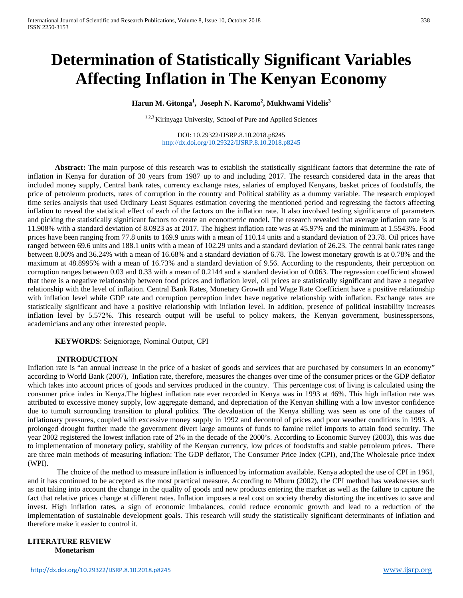# **Determination of Statistically Significant Variables Affecting Inflation in The Kenyan Economy**

**Harun M. Gitonga<sup>1</sup> , Joseph N. Karomo<sup>2</sup> , Mukhwami Videlis<sup>3</sup>**

1,2,3 Kirinyaga University, School of Pure and Applied Sciences

DOI: 10.29322/IJSRP.8.10.2018.p8245 <http://dx.doi.org/10.29322/IJSRP.8.10.2018.p8245>

**Abstract:** The main purpose of this research was to establish the statistically significant factors that determine the rate of inflation in Kenya for duration of 30 years from 1987 up to and including 2017. The research considered data in the areas that included money supply, Central bank rates, currency exchange rates, salaries of employed Kenyans, basket prices of foodstuffs, the price of petroleum products, rates of corruption in the country and Political stability as a dummy variable. The research employed time series analysis that used Ordinary Least Squares estimation covering the mentioned period and regressing the factors affecting inflation to reveal the statistical effect of each of the factors on the inflation rate. It also involved testing significance of parameters and picking the statistically significant factors to create an econometric model. The research revealed that average inflation rate is at 11.908% with a standard deviation of 8.0923 as at 2017. The highest inflation rate was at 45.97% and the minimum at 1.5543%. Food prices have been ranging from 77.8 units to 169.9 units with a mean of 110.14 units and a standard deviation of 23.78. Oil prices have ranged between 69.6 units and 188.1 units with a mean of 102.29 units and a standard deviation of 26.23. The central bank rates range between 8.00% and 36.24% with a mean of 16.68% and a standard deviation of 6.78. The lowest monetary growth is at 0.78% and the maximum at 48.8995% with a mean of 16.73% and a standard deviation of 9.56. According to the respondents, their perception on corruption ranges between 0.03 and 0.33 with a mean of 0.2144 and a standard deviation of 0.063. The regression coefficient showed that there is a negative relationship between food prices and inflation level, oil prices are statistically significant and have a negative relationship with the level of inflation. Central Bank Rates, Monetary Growth and Wage Rate Coefficient have a positive relationship with inflation level while GDP rate and corruption perception index have negative relationship with inflation. Exchange rates are statistically significant and have a positive relationship with inflation level. In addition, presence of political instability increases inflation level by 5.572%. This research output will be useful to policy makers, the Kenyan government, businesspersons, academicians and any other interested people.

**KEYWORDS**: Seigniorage, Nominal Output, CPI

# **INTRODUCTION**

Inflation rate is "an annual increase in the price of a basket of goods and services that are purchased by consumers in an economy" according to World Bank (2007), Inflation rate, therefore, measures the changes over time of the consumer prices or the GDP deflator which takes into account prices of goods and services produced in the country. This percentage cost of living is calculated using the consumer price index in Kenya.The highest inflation rate ever recorded in Kenya was in 1993 at 46%. This high inflation rate was attributed to excessive money supply, low aggregate demand, and depreciation of the Kenyan shilling with a low investor confidence due to tumult surrounding transition to plural politics. The devaluation of the Kenya shilling was seen as one of the causes of inflationary pressures, coupled with excessive money supply in 1992 and decontrol of prices and poor weather conditions in 1993. A prolonged drought further made the government divert large amounts of funds to famine relief imports to attain food security. The year 2002 registered the lowest inflation rate of 2% in the decade of the 2000's. According to Economic Survey (2003), this was due to implementation of monetary policy, stability of the Kenyan currency, low prices of foodstuffs and stable petroleum prices. There are three main methods of measuring inflation: The GDP deflator, The Consumer Price Index (CPI), and,The Wholesale price index (WPI).

The choice of the method to measure inflation is influenced by information available. Kenya adopted the use of CPI in 1961, and it has continued to be accepted as the most practical measure. According to Mburu (2002), the CPI method has weaknesses such as not taking into account the change in the quality of goods and new products entering the market as well as the failure to capture the fact that relative prices change at different rates. Inflation imposes a real cost on society thereby distorting the incentives to save and invest. High inflation rates, a sign of economic imbalances, could reduce economic growth and lead to a reduction of the implementation of sustainable development goals. This research will study the statistically significant determinants of inflation and therefore make it easier to control it.

# **LITERATURE REVIEW Monetarism**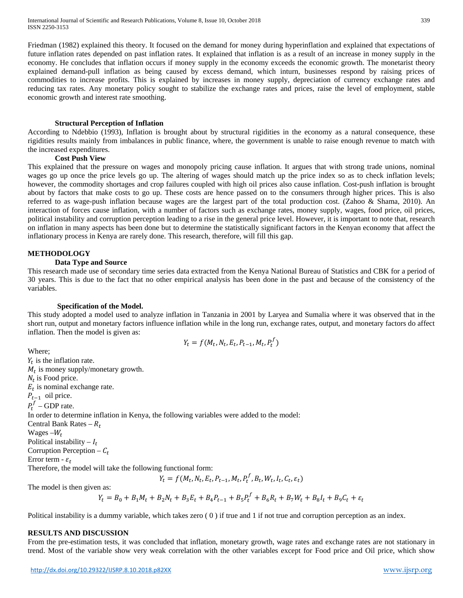Friedman (1982) explained this theory. It focused on the demand for money during hyperinflation and explained that expectations of future inflation rates depended on past inflation rates. It explained that inflation is as a result of an increase in money supply in the economy. He concludes that inflation occurs if money supply in the economy exceeds the economic growth. The monetarist theory explained demand-pull inflation as being caused by excess demand, which inturn, businesses respond by raising prices of commodities to increase profits. This is explained by increases in money supply, depreciation of currency exchange rates and reducing tax rates. Any monetary policy sought to stabilize the exchange rates and prices, raise the level of employment, stable economic growth and interest rate smoothing.

## **Structural Perception of Inflation**

According to Ndebbio (1993), Inflation is brought about by structural rigidities in the economy as a natural consequence, these rigidities results mainly from imbalances in public finance, where, the government is unable to raise enough revenue to match with the increased expenditures.

## **Cost Push View**

This explained that the pressure on wages and monopoly pricing cause inflation. It argues that with strong trade unions, nominal wages go up once the price levels go up. The altering of wages should match up the price index so as to check inflation levels; however, the commodity shortages and crop failures coupled with high oil prices also cause inflation. Cost-push inflation is brought about by factors that make costs to go up. These costs are hence passed on to the consumers through higher prices. This is also referred to as wage-push inflation because wages are the largest part of the total production cost. (Zahoo & Shama, 2010). An interaction of forces cause inflation, with a number of factors such as exchange rates, money supply, wages, food price, oil prices, political instability and corruption perception leading to a rise in the general price level. However, it is important to note that, research on inflation in many aspects has been done but to determine the statistically significant factors in the Kenyan economy that affect the inflationary process in Kenya are rarely done. This research, therefore, will fill this gap.

# **METHODOLOGY**

#### **Data Type and Source**

This research made use of secondary time series data extracted from the Kenya National Bureau of Statistics and CBK for a period of 30 years. This is due to the fact that no other empirical analysis has been done in the past and because of the consistency of the variables.

#### **Specification of the Model.**

This study adopted a model used to analyze inflation in Tanzania in 2001 by Laryea and Sumalia where it was observed that in the short run, output and monetary factors influence inflation while in the long run, exchange rates, output, and monetary factors do affect inflation. Then the model is given as:

$$
Y_t = f(M_t, N_t, E_t, P_{t-1}, M_t, P_t^f)
$$

Where:  $Y_t$  is the inflation rate.  $M_t$  is money supply/monetary growth.  $N_t$  is Food price.  $E_t$  is nominal exchange rate.  $P_{t-1}$  oil price.  $P_t^f$  – GDP rate. In order to determine inflation in Kenya, the following variables were added to the model: Central Bank Rates –  $R_t$ Wages  $-W_t$ Political instability  $-I_t$ Corruption Perception –  $C_t$ Error term -  $\varepsilon_t$ Therefore, the model will take the following functional form:

 $Y_t = f(M_t, N_t, E_t, P_{t-1}, M_t, P_t^J, B_t, W_t, I_t, C_t, \varepsilon_t)$ 

The model is then given as:

$$
Y_t = B_0 + B_1 M_t + B_2 N_t + B_3 E_t + B_4 P_{t-1} + B_5 P_t^f + B_6 R_t + B_7 W_t + B_8 I_t + B_9 C_t + \varepsilon_t
$$

Political instability is a dummy variable, which takes zero  $(0)$  if true and 1 if not true and corruption perception as an index.

#### **RESULTS AND DISCUSSION**

From the pre-estimation tests, it was concluded that inflation, monetary growth, wage rates and exchange rates are not stationary in trend. Most of the variable show very weak correlation with the other variables except for Food price and Oil price, which show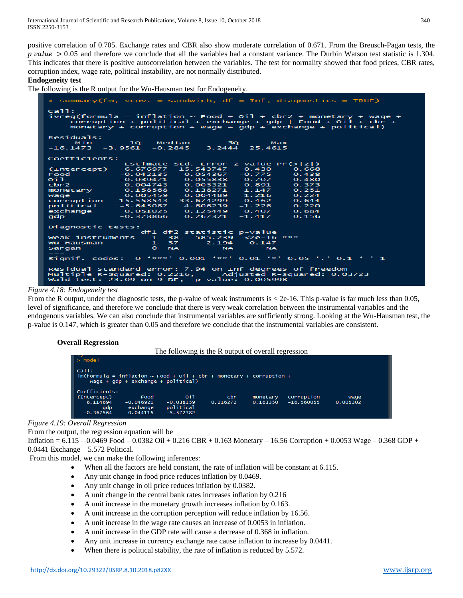positive correlation of 0.705. Exchange rates and CBR also show moderate correlation of 0.671. From the Breusch-Pagan tests, the  $p$  value  $> 0.05$  and therefore we conclude that all the variables had a constant variance. The Durbin Watson test statistic is 1.304. This indicates that there is positive autocorrelation between the variables. The test for normality showed that food prices, CBR rates, corruption index, wage rate, political instability, are not normally distributed.

#### **Endogeneity test**

The following is the R output for the Wu-Hausman test for Endogeneity.

| > summary(fm, $vcov. = sandwich, df = Inf, diaqnostics = TRUE$ )                                                                                                                                                                        |                                                                                                                                                                                                                                            |      |  |                                                                                                                                                                                                                                                      |                                                                                                               |  |  |  |
|-----------------------------------------------------------------------------------------------------------------------------------------------------------------------------------------------------------------------------------------|--------------------------------------------------------------------------------------------------------------------------------------------------------------------------------------------------------------------------------------------|------|--|------------------------------------------------------------------------------------------------------------------------------------------------------------------------------------------------------------------------------------------------------|---------------------------------------------------------------------------------------------------------------|--|--|--|
| ca11:<br>ivreg(formula = inflation $\sim$ Food + Oil + cbr2 + monetary + wage +<br>corruption + political + exchange + gdp   Food + $\text{o}1 + \text{cbr} + \text{c}$<br>monetary + corruption + wage + $qdp$ + exchange + political) |                                                                                                                                                                                                                                            |      |  |                                                                                                                                                                                                                                                      |                                                                                                               |  |  |  |
| Residuals:                                                                                                                                                                                                                              |                                                                                                                                                                                                                                            |      |  |                                                                                                                                                                                                                                                      |                                                                                                               |  |  |  |
| Min -                                                                                                                                                                                                                                   |                                                                                                                                                                                                                                            |      |  | 1Q Median 3Q Max                                                                                                                                                                                                                                     |                                                                                                               |  |  |  |
| $-16.1473 - 3.9561 - 0.2845$ 3.2444 25.4615                                                                                                                                                                                             |                                                                                                                                                                                                                                            |      |  |                                                                                                                                                                                                                                                      |                                                                                                               |  |  |  |
| Coefficients:                                                                                                                                                                                                                           |                                                                                                                                                                                                                                            |      |  |                                                                                                                                                                                                                                                      |                                                                                                               |  |  |  |
|                                                                                                                                                                                                                                         |                                                                                                                                                                                                                                            |      |  |                                                                                                                                                                                                                                                      | Estimate Std. Error z value $Pr(> z )$                                                                        |  |  |  |
| (Intercept) 6.676977 15.543747 0.430                                                                                                                                                                                                    |                                                                                                                                                                                                                                            |      |  |                                                                                                                                                                                                                                                      | 0.668                                                                                                         |  |  |  |
|                                                                                                                                                                                                                                         |                                                                                                                                                                                                                                            |      |  |                                                                                                                                                                                                                                                      |                                                                                                               |  |  |  |
| Food<br>oil                                                                                                                                                                                                                             |                                                                                                                                                                                                                                            |      |  |                                                                                                                                                                                                                                                      |                                                                                                               |  |  |  |
| cbr2                                                                                                                                                                                                                                    |                                                                                                                                                                                                                                            |      |  |                                                                                                                                                                                                                                                      | $-0.042135$ $0.054367$ $-0.775$ 0.438<br>$-0.039471$ 0.055838 $-0.707$ 0.480<br>0.004743 0.005321 0.891 0.373 |  |  |  |
| monetary 0.158568 0.138271 1.147                                                                                                                                                                                                        |                                                                                                                                                                                                                                            |      |  |                                                                                                                                                                                                                                                      | 0.251                                                                                                         |  |  |  |
| wage                                                                                                                                                                                                                                    | $\overline{0.005459}$ 0.004489 1.216                                                                                                                                                                                                       |      |  |                                                                                                                                                                                                                                                      | 0.224                                                                                                         |  |  |  |
| corruption -15.558543 33.674299 -0.462                                                                                                                                                                                                  |                                                                                                                                                                                                                                            |      |  |                                                                                                                                                                                                                                                      | 0.644                                                                                                         |  |  |  |
| political -5.645087 4.606239                                                                                                                                                                                                            |                                                                                                                                                                                                                                            |      |  | $-1.226$                                                                                                                                                                                                                                             | 0.220                                                                                                         |  |  |  |
| exchange 0.051025 0.125449 0.407                                                                                                                                                                                                        |                                                                                                                                                                                                                                            |      |  |                                                                                                                                                                                                                                                      | 0.684                                                                                                         |  |  |  |
| $qdp = -0.378866$ 0.267321 -1.417                                                                                                                                                                                                       |                                                                                                                                                                                                                                            |      |  |                                                                                                                                                                                                                                                      | 0.156                                                                                                         |  |  |  |
| Diagnostic tests:                                                                                                                                                                                                                       |                                                                                                                                                                                                                                            |      |  |                                                                                                                                                                                                                                                      |                                                                                                               |  |  |  |
| df1 df2 statistic p-value                                                                                                                                                                                                               |                                                                                                                                                                                                                                            |      |  |                                                                                                                                                                                                                                                      |                                                                                                               |  |  |  |
| Weak instruments 1 38                                                                                                                                                                                                                   |                                                                                                                                                                                                                                            |      |  | 585.239 <2e-16 ***                                                                                                                                                                                                                                   |                                                                                                               |  |  |  |
| Wu-Hausman                                                                                                                                                                                                                              |                                                                                                                                                                                                                                            | 1 37 |  | $2.194$ 0.147                                                                                                                                                                                                                                        |                                                                                                               |  |  |  |
| Sargan                                                                                                                                                                                                                                  | <b><i>CONSTRUCTION CONSTRUCTION AND VIOLATION CONSTRUCTION AND VIOLATION CONSTRUCTION CONSTRUCTION CONSTRUCTION CONSTRUCTION CONSTRUCTION CONSTRUCTION CONSTRUCTION CONSTRUCTION CONSTRUCTION CONSTRUCTION CONSTRUCTION CONSTRUCTI</i></b> |      |  | NA <sub>2</sub> and the state of the state of the state of the state of the state of the state of the state of the state of the state of the state of the state of the state of the state of the state of the state of the state of the<br><b>NA</b> |                                                                                                               |  |  |  |
|                                                                                                                                                                                                                                         |                                                                                                                                                                                                                                            |      |  |                                                                                                                                                                                                                                                      |                                                                                                               |  |  |  |
| Signif. codes: $0$ '***' 0.001 '**' 0.01 '*' 0.05 '.' 0.1 ' ' 1                                                                                                                                                                         |                                                                                                                                                                                                                                            |      |  |                                                                                                                                                                                                                                                      |                                                                                                               |  |  |  |
| Residual standard error: 7.94 on Inf degrees of freedom<br>Multiple R-Squared: 0.2216, Adjusted R-squared: 0.03723<br>wald test: 23.09 on 9 $DF$ , p-value: 0.005998                                                                    |                                                                                                                                                                                                                                            |      |  |                                                                                                                                                                                                                                                      |                                                                                                               |  |  |  |

# *Figure 4.18: Endogeneity test*

From the R output, under the diagnostic tests, the p-value of weak instruments is  $< 2e-16$ . This p-value is far much less than 0.05, level of significance, and therefore we conclude that there is very weak correlation between the instrumental variables and the endogenous variables. We can also conclude that instrumental variables are sufficiently strong. Looking at the Wu-Hausman test, the p-value is 0.147, which is greater than 0.05 and therefore we conclude that the instrumental variables are consistent.

# **Overall Regression**

The following is the R output of overall regression

| $\mathbb{I}$ > model                                                                                                      |                                             |                                                |                 |                      |                            |                  |  |
|---------------------------------------------------------------------------------------------------------------------------|---------------------------------------------|------------------------------------------------|-----------------|----------------------|----------------------------|------------------|--|
| ca11:<br>$lm(formula = inflation \sim Food + oil + cbr + monetary + corruption +$<br>wage + $qdp$ + exchange + political) |                                             |                                                |                 |                      |                            |                  |  |
| Coefficients:<br>(Intercept)<br>6.114694<br>qdp<br>$-0.367564$                                                            | Food<br>$-0.046921$<br>exchange<br>0.044115 | oi1<br>$-0.038159$<br>political<br>$-5.572382$ | cbr<br>0.216272 | monetary<br>0.163350 | corruption<br>$-16.560055$ | wage<br>0.005302 |  |

*Figure 4.19: Overall Regression*

From the output, the regression equation will be

Inflation =  $6.115 - 0.0469$  Food  $- 0.0382$  Oil  $+ 0.216$  CBR  $+ 0.163$  Monetary  $- 16.56$  Corruption  $+ 0.0053$  Wage  $- 0.368$  GDP  $+$ 0.0441 Exchange – 5.572 Political.

From this model, we can make the following inferences:

- When all the factors are held constant, the rate of inflation will be constant at 6.115.
- Any unit change in food price reduces inflation by 0.0469.
- Any unit change in oil price reduces inflation by 0.0382.
- A unit change in the central bank rates increases inflation by 0.216
- A unit increase in the monetary growth increases inflation by 0.163.
- A unit increase in the corruption perception will reduce inflation by 16.56.
- A unit increase in the wage rate causes an increase of 0.0053 in inflation.
- A unit increase in the GDP rate will cause a decrease of 0.368 in inflation.
- Any unit increase in currency exchange rate cause inflation to increase by 0.0441.
- When there is political stability, the rate of inflation is reduced by 5.572.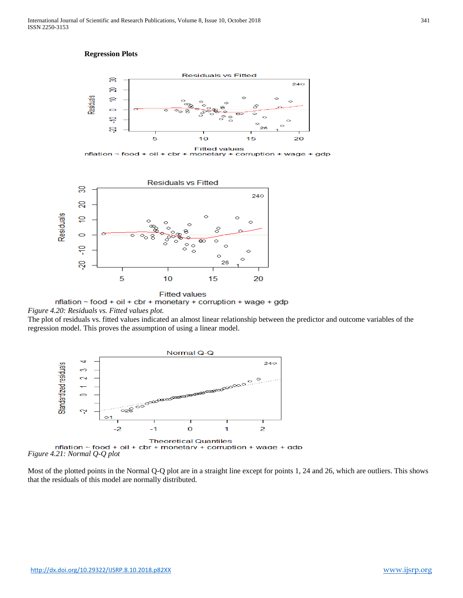# **Regression Plots**



**Fitted values**  $n$  mation ~ food + oil + cbr + monetary + corruption + wage + gdp



nflation  $\sim$  food + oil + cbr + monetary + corruption + wage + gdp *Figure 4.20: Residuals vs. Fitted values plot.*

The plot of residuals vs. fitted values indicated an almost linear relationship between the predictor and outcome variables of the regression model. This proves the assumption of using a linear model.



Most of the plotted points in the Normal Q-Q plot are in a straight line except for points 1, 24 and 26, which are outliers. This shows that the residuals of this model are normally distributed.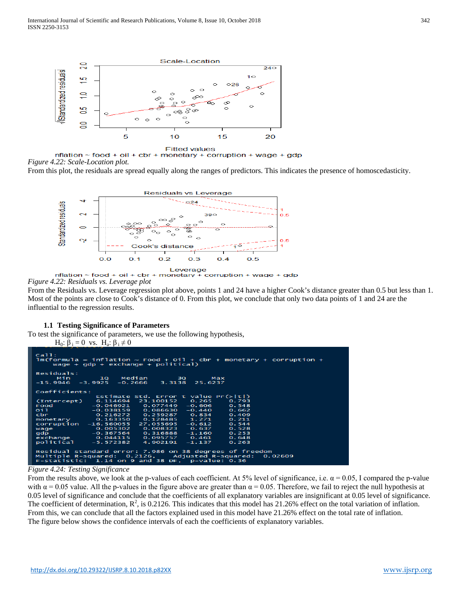

 $n$ flation ~ food + oil + cbr + monetary + corruption + wage + gdp *Figure 4.22: Scale-Location plot.*

From this plot, the residuals are spread equally along the ranges of predictors. This indicates the presence of homoscedasticity.



 $n$ flation ~ food + oil + cbr + monetary + corruption + wage + gdp *Figure 4.22: Residuals vs. Leverage plot*

From the Residuals vs. Leverage regression plot above, points 1 and 24 have a higher Cook's distance greater than 0.5 but less than 1. Most of the points are close to Cook's distance of 0. From this plot, we conclude that only two data points of 1 and 24 are the influential to the regression results.

#### **1.1 Testing Significance of Parameters**

To test the significance of parameters, we use the following hypothesis, H<sub>0</sub>: β<sub>i</sub> = 0 vs. H<sub>a</sub>: β<sub>i</sub>  $\neq$  0

```
.<br>ormula
                                                                                                  monetary + corruption +
                              inf
                                     lation
                                                        Food
                                                                                     cbr
          vage
                         ado
                                      exchange
        idua
                                            Median<br>∙0.2666
                             1Q<br>9925
                                                                                         Max<br>6237
                                                                     3Q<br>3138
         ag
                                                                                   25.
Coefficients:
                                           ate<br>694
                                                                                   a1ue<br>.265
                                                               \overline{001}\frac{1}{46}(Inter
             \texttt{cept}046921
                                                        \circ606
   ood
                                   040921<br>038159<br>216272<br>163350
\overline{011}зo
                                                        \bulletmonetary<br>corruption
                                             55<br>02
       hange
                                                        \circsidual standard error: 7.986<br>ltiple R-squared:  0.2126,<br>statistic:  1.14 on 9 and 38
       idual<br>tiple
                                                                                  degr<br>sted
                                                                     on
                                                                            38
                                                                                            ees
                                                                                                    of
                                                                                                           freedom
                                                                                                                       0.02609
                                                                                sted R-s<br>p-value:
                                                                                                    ua<br>0.
                                                                    DF,
```
#### *Figure 4.24: Testing Significance*

From the results above, we look at the p-values of each coefficient. At 5% level of significance, i.e.  $\alpha = 0.05$ , I compared the p-value with  $\alpha$  = 0.05 value. All the p-values in the figure above are greater than  $\alpha$  = 0.05. Therefore, we fail to reject the null hypothesis at 0.05 level of significance and conclude that the coefficients of all explanatory variables are insignificant at 0.05 level of significance. The coefficient of determination,  $\mathbb{R}^2$ , is 0.2126. This indicates that this model has 21.26% effect on the total variation of inflation. From this, we can conclude that all the factors explained used in this model have 21.26% effect on the total rate of inflation. The figure below shows the confidence intervals of each the coefficients of explanatory variables.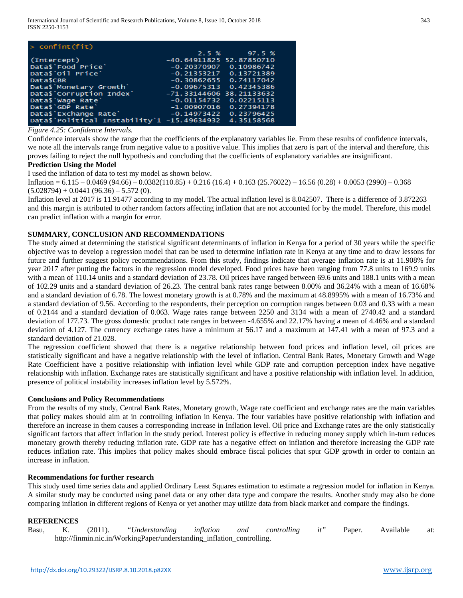| $>$ confint (fit)                                      |                            |                          |
|--------------------------------------------------------|----------------------------|--------------------------|
|                                                        |                            | 2.5 % 97.5 %             |
| (Intercept)                                            | -40.64911825 52.87850710   |                          |
| Data\$ Food Price                                      | -0.20370907                | 0.10986742               |
| Data\$'Oil Price'                                      | $-0.21353217$ $0.13721389$ |                          |
| Data\$CBR                                              | $-0.30862655$ 0.74117042   |                          |
| Data\$ Monetary Growth'                                |                            | $-0.09675313$ 0.42345386 |
| Data\$ Corruption Index'                               | $-71.3314460638.21133632$  |                          |
| Data\$ Wage Rate                                       | $-0.01154732$              | 0.02215113               |
| Data\$'GDP Rate'                                       | $-1.00907016$ 0.27394178   |                          |
| Data\$'Exchange Rate'                                  | $-0.14973422$ 0.23796425   |                          |
| Data\$'Political Instability'1 -15.49634932 4.35158568 |                            |                          |

*Figure 4.25: Confidence Intervals.*

Confidence intervals show the range that the coefficients of the explanatory variables lie. From these results of confidence intervals, we note all the intervals range from negative value to a positive value. This implies that zero is part of the interval and therefore, this proves failing to reject the null hypothesis and concluding that the coefficients of explanatory variables are insignificant.

# **Prediction Using the Model**

I used the inflation of data to test my model as shown below.

Inflation =  $6.115 - 0.0469 (94.66) - 0.0382(110.85) + 0.216 (16.4) + 0.163 (25.76022) - 16.56 (0.28) + 0.0053 (2990) - 0.368$  $(5.028794) + 0.0441 (96.36) - 5.572 (0).$ 

Inflation level at 2017 is 11.91477 according to my model. The actual inflation level is 8.042507. There is a difference of 3.872263 and this margin is attributed to other random factors affecting inflation that are not accounted for by the model. Therefore, this model can predict inflation with a margin for error.

# **SUMMARY, CONCLUSION AND RECOMMENDATIONS**

The study aimed at determining the statistical significant determinants of inflation in Kenya for a period of 30 years while the specific objective was to develop a regression model that can be used to determine inflation rate in Kenya at any time and to draw lessons for future and further suggest policy recommendations. From this study, findings indicate that average inflation rate is at 11.908% for year 2017 after putting the factors in the regression model developed. Food prices have been ranging from 77.8 units to 169.9 units with a mean of 110.14 units and a standard deviation of 23.78. Oil prices have ranged between 69.6 units and 188.1 units with a mean of 102.29 units and a standard deviation of 26.23. The central bank rates range between 8.00% and 36.24% with a mean of 16.68% and a standard deviation of 6.78. The lowest monetary growth is at 0.78% and the maximum at 48.8995% with a mean of 16.73% and a standard deviation of 9.56. According to the respondents, their perception on corruption ranges between 0.03 and 0.33 with a mean of 0.2144 and a standard deviation of 0.063. Wage rates range between 2250 and 3134 with a mean of 2740.42 and a standard deviation of 177.73. The gross domestic product rate ranges in between -4.655% and 22.17% having a mean of 4.46% and a standard deviation of 4.127. The currency exchange rates have a minimum at 56.17 and a maximum at 147.41 with a mean of 97.3 and a standard deviation of 21.028.

The regression coefficient showed that there is a negative relationship between food prices and inflation level, oil prices are statistically significant and have a negative relationship with the level of inflation. Central Bank Rates, Monetary Growth and Wage Rate Coefficient have a positive relationship with inflation level while GDP rate and corruption perception index have negative relationship with inflation. Exchange rates are statistically significant and have a positive relationship with inflation level. In addition, presence of political instability increases inflation level by 5.572%.

## **Conclusions and Policy Recommendations**

From the results of my study, Central Bank Rates, Monetary growth, Wage rate coefficient and exchange rates are the main variables that policy makes should aim at in controlling inflation in Kenya. The four variables have positive relationship with inflation and therefore an increase in them causes a corresponding increase in Inflation level. Oil price and Exchange rates are the only statistically significant factors that affect inflation in the study period. Interest policy is effective in reducing money supply which in-turn reduces monetary growth thereby reducing inflation rate. GDP rate has a negative effect on inflation and therefore increasing the GDP rate reduces inflation rate. This implies that policy makes should embrace fiscal policies that spur GDP growth in order to contain an increase in inflation.

#### **Recommendations for further research**

This study used time series data and applied Ordinary Least Squares estimation to estimate a regression model for inflation in Kenya. A similar study may be conducted using panel data or any other data type and compare the results. Another study may also be done comparing inflation in different regions of Kenya or yet another may utilize data from black market and compare the findings.

#### **REFERENCES**

Basu, K. (2011). *"Understanding inflation and controlling it"* Paper. Available at: [http://finmin.nic.in/WorkingPaper/understanding\\_inflation\\_controlling.](http://finmin.nic.in/WorkingPaper/understanding_inflation_controlling.)